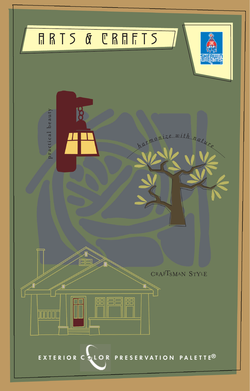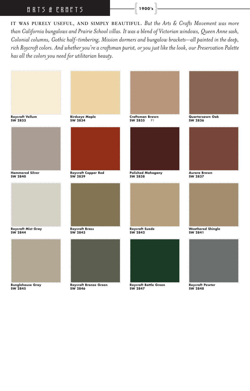## <sup>A</sup> R T S & C R A F <sup>T</sup> <sup>S</sup> **{ 1900 's }**

**IT WAS PURELY USEFUL, AND SIMPLY BEAUTIFUL.** *But the Arts & Crafts Movement was more than California bungalows and Prairie School villas. It was a blend of Victorian windows, Queen Anne sash, Colonial columns, Gothic half-timbering, Mission dormers and bungalow brackets—all painted in the deep, rich Roycroft colors. And whether you're a craftsman purist, or you just like the look, our Preservation Palette has all the colors you need for utilitarian beauty.*

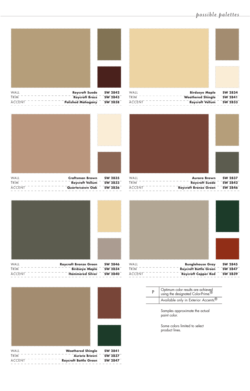## *p o s s i b l e p a l e t t e s*



WALL **COMPUTE SW 2834**<br>
FRIM COMPUTER TRIM TRIM COMPUTER SW 2841 TRIM **THE SW 2841**<br>ACCENT THE STRIM THE STRIM THE SW 2833<br>Roycroft Vellum THSW 2833 **Roycroft Vellum** 



WALL **Aurora Brown SW 2837**<br>
TRIM -------------- **Roycroft Suede - SW 2842** TRIM **ROYCLE BURG 28444 TRIM PROPERTY PROPERTY PROPERTY PROPERTY PROPERTY PROPERTY Roycroft Bronze Green** SW 2846









| WAIL          | <b>Weathered Shingle</b><br>SW 2841     |
|---------------|-----------------------------------------|
| TRIM          | SW 2837<br><b>Aurora Brown</b>          |
| <b>ACCENT</b> | SW 2847<br><b>Roycroft Bottle Green</b> |
|               |                                         |

|  | Optimum color results are achieved<br>using the designated Color-Prime. |  |  |  |  |  |  |  |
|--|-------------------------------------------------------------------------|--|--|--|--|--|--|--|
|  | Available only in Exterior Accents. <sup>®</sup>                        |  |  |  |  |  |  |  |

Samples approximate the actual paint color.

Some colors limited to select product lines.



| WAII          |  |  |  |  |  | <b>Roycroft Suede</b>    | SW 2842        |  |
|---------------|--|--|--|--|--|--------------------------|----------------|--|
| TRIM          |  |  |  |  |  | <b>Roycroft Brass</b>    | SW 2843        |  |
| <b>ACCENT</b> |  |  |  |  |  | <b>Polished Mahogany</b> | <b>SW 2838</b> |  |